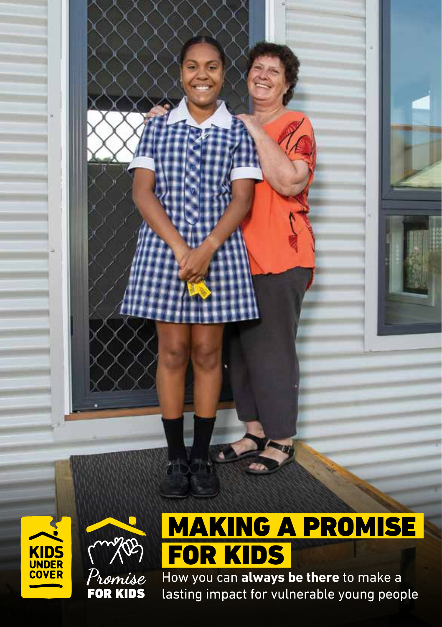How you can **always be there** to make a lasting impact for vulnerable young people FOR KIDS

**KIDS**<br>UNDER<br>COVER

Promise<br>**FOR KIDS** 

MAKING A PROMISE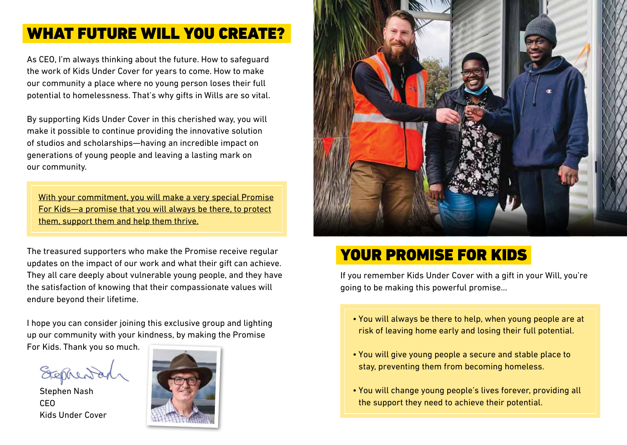### WHAT FUTURE WILL YOU CREATE?

As CEO, I'm always thinking about the future. How to safeguard the work of Kids Under Cover for years to come. How to make our community a place where no young person loses their full potential to homelessness. That's why gifts in Wills are so vital.

By supporting Kids Under Cover in this cherished way, you will make it possible to continue providing the innovative solution of studios and scholarships—having an incredible impact on generations of young people and leaving a lasting mark on our community.

With your commitment, you will make a very special Promise For Kids—a promise that you will always be there, to protect them, support them and help them thrive.

The treasured supporters who make the Promise receive regular updates on the impact of our work and what their gift can achieve. They all care deeply about vulnerable young people, and they have the satisfaction of knowing that their compassionate values will endure beyond their lifetime.

I hope you can consider joining this exclusive group and lighting up our community with your kindness, by making the Promise

For Kids. Thank you so much.

Stephen Nash CEO Kids Under Cover





## YOUR PROMISE FOR KIDS

If you remember Kids Under Cover with a gift in your Will, you're going to be making this powerful promise…

- You will always be there to help, when young people are at risk of leaving home early and losing their full potential.
- You will give young people a secure and stable place to stay, preventing them from becoming homeless.
- You will change young people's lives forever, providing all the support they need to achieve their potential.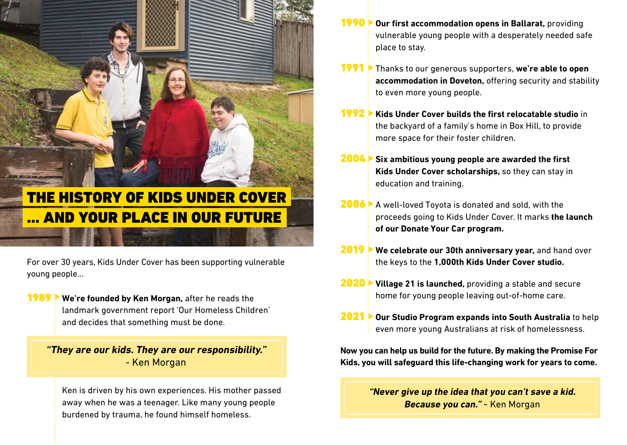# THE HISTORY OF KIDS UNDER COVER … AND YOUR PLACE IN OUR FUTURE

For over 30 years, Kids Under Cover has been supporting vulnerable young people…

**1989 We're founded by Ken Morgan,** after he reads the landmark government report 'Our Homeless Children' and decides that something must be done.

**"They are our kids. They are our responsibility."**  - Ken Morgan

 Ken is driven by his own experiences. His mother passed away when he was a teenager. Like many young people burdened by trauma, he found himself homeless.

- **Our first accommodation opens in Ballarat, providing** vulnerable young people with a desperately needed safe place to stay.  $1990$
- **Thanks to our generous supporters, we're able to open accommodation in Doveton,** offering security and stability to even more young people.  $1991$
- 1992 **Kids Under Cover builds the first relocatable studio** in the backyard of a family's home in Box Hill, to provide more space for their foster children.  $1992 \pm$
- **Six ambitious young people are awarded the first Kids Under Cover scholarships,** so they can stay in education and training.  $2004 \triangleright$
- **2006** A well-loved Toyota is donated and sold, with the proceeds going to Kids Under Cover. It marks **the launch of our Donate Your Car program.**
- 2019 **We celebrate our 30th anniversary year,** and hand over the keys to the **1,000th Kids Under Cover studio.**
- **2020** Village 21 is launched, providing a stable and secure home for young people leaving out-of-home care.
- **Our Studio Program expands into South Australia** to help even more young Australians at risk of homelessness.  $2021$   $\overline{ }$

**Now you can help us build for the future. By making the Promise For Kids, you will safeguard this life-changing work for years to come.**

> **"Never give up the idea that you can't save a kid. Because you can."** - Ken Morgan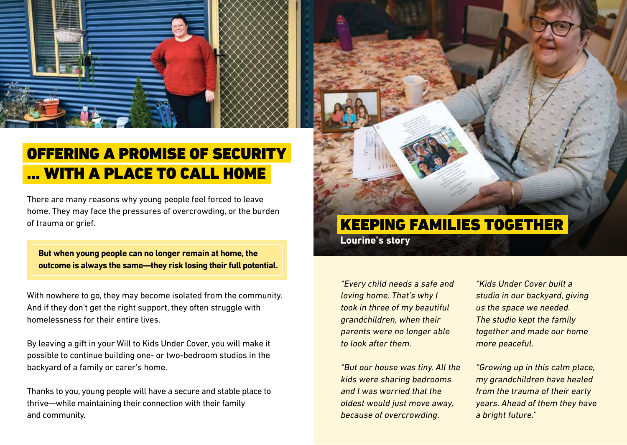

## OFFERING A PROMISE OF SECURITY … WITH A PLACE TO CALL HOME

There are many reasons why young people feel forced to leave home. They may face the pressures of overcrowding, or the burden of trauma or grief.

**But when young people can no longer remain at home, the outcome is always the same—they risk losing their full potential.**

With nowhere to go, they may become isolated from the community. And if they don't get the right support, they often struggle with homelessness for their entire lives.

By leaving a gift in your Will to Kids Under Cover, you will make it possible to continue building one- or two-bedroom studios in the backyard of a family or carer's home.

Thanks to you, young people will have a secure and stable place to thrive—while maintaining their connection with their family and community.



### KEEPING FAMILIES TOGETHER

**Lourine's story**

"Every child needs a safe and loving home. That's why I took in three of my beautiful grandchildren, when their parents were no longer able to look after them.

"But our house was tiny. All the kids were sharing bedrooms and I was worried that the oldest would just move away, because of overcrowding.

"Kids Under Cover built a studio in our backyard, giving us the space we needed. The studio kept the family together and made our home more peaceful.

"Growing up in this calm place, my grandchildren have healed from the trauma of their early years. Ahead of them they have a bright future."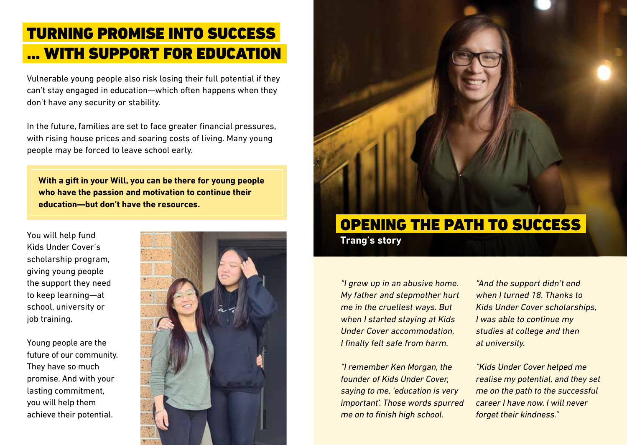### TURNING PROMISE INTO SUCCESS … WITH SUPPORT FOR EDUCATION

Vulnerable young people also risk losing their full potential if they can't stay engaged in education—which often happens when they don't have any security or stability.

In the future, families are set to face greater financial pressures, with rising house prices and soaring costs of living. Many young people may be forced to leave school early.

**With a gift in your Will, you can be there for young people who have the passion and motivation to continue their education—but don't have the resources.**

You will help fund Kids Under Cover's scholarship program, giving young people the support they need to keep learning—at school, university or job training.

Young people are the future of our community. They have so much promise. And with your lasting commitment, you will help them achieve their potential.





# OPENING THE PATH TO SUCCESS

**Trang's story**

"I grew up in an abusive home. My father and stepmother hurt me in the cruellest ways. But when I started staving at Kids Under Cover accommodation, I finally felt safe from harm.

"I remember Ken Morgan, the founder of Kids Under Cover, saying to me, 'education is very important'. Those words spurred me on to finish high school.

"And the support didn't end when I turned 18. Thanks to Kids Under Cover scholarships, I was able to continue my studies at college and then at university.

"Kids Under Cover helped me realise my potential, and they set me on the path to the successful career I have now. I will never forget their kindness."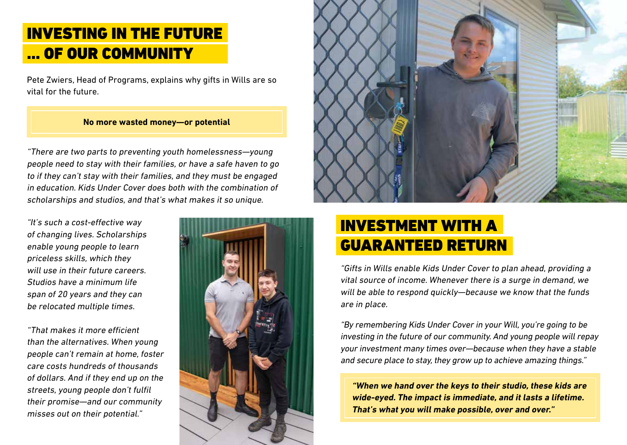### INVESTING IN THE FUTURE … OF OUR COMMUNITY

Pete Zwiers, Head of Programs, explains why gifts in Wills are so vital for the future.

#### **No more wasted money—or potential**

"There are two parts to preventing youth homelessness—young people need to stay with their families, or have a safe haven to go to if they can't stay with their families, and they must be engaged in education. Kids Under Cover does both with the combination of scholarships and studios, and that's what makes it so unique.

"It's such a cost-effective way of changing lives. Scholarships enable young people to learn priceless skills, which they will use in their future careers. Studios have a minimum life span of 20 years and they can be relocated multiple times.

"That makes it more efficient than the alternatives. When young people can't remain at home, foster care costs hundreds of thousands of dollars. And if they end up on the streets, young people don't fulfil their promise—and our community misses out on their potential."





### INVESTMENT WITH A GUARANTEED RETURN

"Gifts in Wills enable Kids Under Cover to plan ahead, providing a vital source of income. Whenever there is a surge in demand, we will be able to respond quickly—because we know that the funds are in place.

"By remembering Kids Under Cover in your Will, you're going to be investing in the future of our community. And young people will repay your investment many times over—because when they have a stable and secure place to stay, they grow up to achieve amazing things."

**"When we hand over the keys to their studio, these kids are wide-eyed. The impact is immediate, and it lasts a lifetime. That's what you will make possible, over and over."**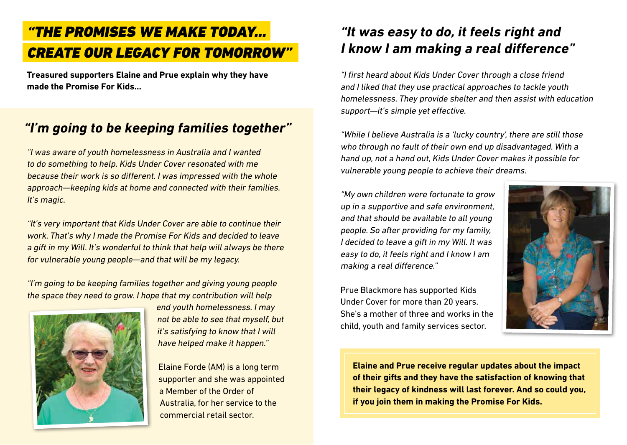### "THE PROMISES WE MAKE TODAY… CREATE OUR LEGACY FOR TOMORROW"

**Treasured supporters Elaine and Prue explain why they have made the Promise For Kids...**

### **"I'm going to be keeping families together"**

"I was aware of youth homelessness in Australia and I wanted to do something to help. Kids Under Cover resonated with me because their work is so different. I was impressed with the whole approach—keeping kids at home and connected with their families. It's magic.

"It's very important that Kids Under Cover are able to continue their work. That's why I made the Promise For Kids and decided to leave a gift in my Will. It's wonderful to think that help will always be there for vulnerable young people—and that will be my legacy.

"I'm going to be keeping families together and giving young people the space they need to grow. I hope that my contribution will help



end youth homelessness. I may not be able to see that myself, but it's satisfying to know that I will have helped make it happen."

Elaine Forde (AM) is a long term supporter and she was appointed a Member of the Order of Australia, for her service to the commercial retail sector.

### **"It was easy to do, it feels right and I know I am making a real difference"**

"I first heard about Kids Under Cover through a close friend and I liked that they use practical approaches to tackle youth homelessness. They provide shelter and then assist with education support—it's simple yet effective.

"While I believe Australia is a 'lucky country', there are still those who through no fault of their own end up disadvantaged. With a hand up, not a hand out, Kids Under Cover makes it possible for vulnerable young people to achieve their dreams.

"My own children were fortunate to grow up in a supportive and safe environment, and that should be available to all young people. So after providing for my family, I decided to leave a gift in my Will. It was easy to do, it feels right and I know I am making a real difference."

Prue Blackmore has supported Kids Under Cover for more than 20 years. She's a mother of three and works in the child, youth and family services sector.



**Elaine and Prue receive regular updates about the impact of their gifts and they have the satisfaction of knowing that their legacy of kindness will last forever. And so could you, if you join them in making the Promise For Kids.**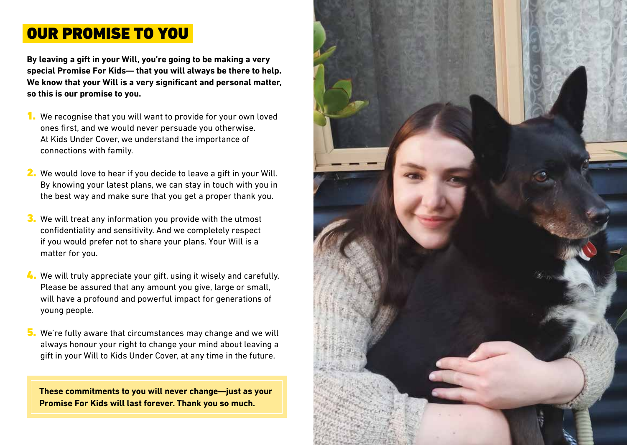### OUR PROMISE TO YOU

**By leaving a gift in your Will, you're going to be making a very special Promise For Kids— that you will always be there to help. We know that your Will is a very significant and personal matter, so this is our promise to you.**

- 1. We recognise that you will want to provide for your own loved ones first, and we would never persuade you otherwise. At Kids Under Cover, we understand the importance of connections with family.
- 2. We would love to hear if you decide to leave a gift in your Will. By knowing your latest plans, we can stay in touch with you in the best way and make sure that you get a proper thank you.
- 3. We will treat any information you provide with the utmost confidentiality and sensitivity. And we completely respect if you would prefer not to share your plans. Your Will is a matter for you.
- **4.** We will truly appreciate your gift, using it wisely and carefully. Please be assured that any amount you give, large or small, will have a profound and powerful impact for generations of young people.
- 5. We're fully aware that circumstances may change and we will always honour your right to change your mind about leaving a gift in your Will to Kids Under Cover, at any time in the future.

**These commitments to you will never change—just as your Promise For Kids will last forever. Thank you so much.**